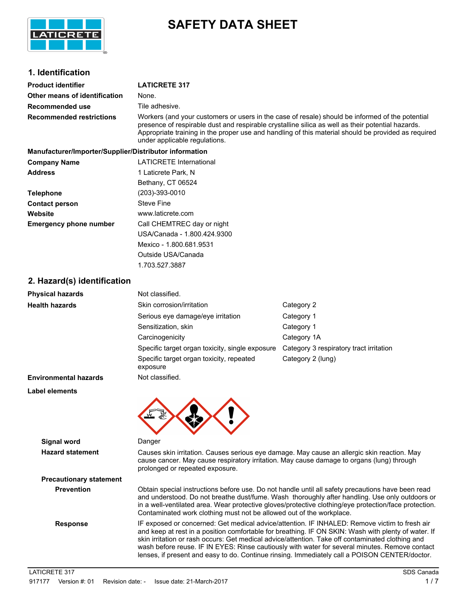

# **SAFETY DATA SHEET**

# **1. Identification**

| <b>Product identifier</b>                              | <b>LATICRETE 317</b>                                                                                                                                                                                                                                                                                                                         |
|--------------------------------------------------------|----------------------------------------------------------------------------------------------------------------------------------------------------------------------------------------------------------------------------------------------------------------------------------------------------------------------------------------------|
| Other means of identification                          | None.                                                                                                                                                                                                                                                                                                                                        |
| Recommended use                                        | Tile adhesive.                                                                                                                                                                                                                                                                                                                               |
| <b>Recommended restrictions</b>                        | Workers (and your customers or users in the case of resale) should be informed of the potential<br>presence of respirable dust and respirable crystalline silica as well as their potential hazards.<br>Appropriate training in the proper use and handling of this material should be provided as required<br>under applicable regulations. |
| Manufacturer/Importer/Supplier/Distributor information |                                                                                                                                                                                                                                                                                                                                              |
| <b>Company Name</b>                                    | <b>LATICRETE International</b>                                                                                                                                                                                                                                                                                                               |
| <b>Address</b>                                         | 1 Laticrete Park, N                                                                                                                                                                                                                                                                                                                          |

|                               | Bethany, CT 06524           |
|-------------------------------|-----------------------------|
| Telephone                     | (203)-393-0010              |
| <b>Contact person</b>         | <b>Steve Fine</b>           |
| Website                       | www.laticrete.com           |
| <b>Emergency phone number</b> | Call CHEMTREC day or night  |
|                               | USA/Canada - 1.800.424.9300 |
|                               | Mexico - 1.800.681.9531     |
|                               | Outside USA/Canada          |

1.703.527.3887

# **2. Hazard(s) identification**

| .                              |                                                                                                                                                                                                                                                                                                                                                                                      |                                                                                                                                                                                                      |
|--------------------------------|--------------------------------------------------------------------------------------------------------------------------------------------------------------------------------------------------------------------------------------------------------------------------------------------------------------------------------------------------------------------------------------|------------------------------------------------------------------------------------------------------------------------------------------------------------------------------------------------------|
| <b>Physical hazards</b>        | Not classified.                                                                                                                                                                                                                                                                                                                                                                      |                                                                                                                                                                                                      |
| <b>Health hazards</b>          | Skin corrosion/irritation                                                                                                                                                                                                                                                                                                                                                            | Category 2                                                                                                                                                                                           |
|                                | Serious eye damage/eye irritation                                                                                                                                                                                                                                                                                                                                                    | Category 1                                                                                                                                                                                           |
|                                | Sensitization, skin                                                                                                                                                                                                                                                                                                                                                                  | Category 1                                                                                                                                                                                           |
|                                | Carcinogenicity                                                                                                                                                                                                                                                                                                                                                                      | Category 1A                                                                                                                                                                                          |
|                                | Specific target organ toxicity, single exposure                                                                                                                                                                                                                                                                                                                                      | Category 3 respiratory tract irritation                                                                                                                                                              |
|                                | Specific target organ toxicity, repeated<br>exposure                                                                                                                                                                                                                                                                                                                                 | Category 2 (lung)                                                                                                                                                                                    |
| <b>Environmental hazards</b>   | Not classified.                                                                                                                                                                                                                                                                                                                                                                      |                                                                                                                                                                                                      |
| Label elements                 |                                                                                                                                                                                                                                                                                                                                                                                      |                                                                                                                                                                                                      |
| <b>Signal word</b>             | Danger                                                                                                                                                                                                                                                                                                                                                                               |                                                                                                                                                                                                      |
| <b>Hazard statement</b>        | cause cancer. May cause respiratory irritation. May cause damage to organs (lung) through<br>prolonged or repeated exposure.                                                                                                                                                                                                                                                         | Causes skin irritation. Causes serious eye damage. May cause an allergic skin reaction. May                                                                                                          |
| <b>Precautionary statement</b> |                                                                                                                                                                                                                                                                                                                                                                                      |                                                                                                                                                                                                      |
| <b>Prevention</b>              | Obtain special instructions before use. Do not handle until all safety precautions have been read<br>and understood. Do not breathe dust/fume. Wash thoroughly after handling. Use only outdoors or<br>in a well-ventilated area. Wear protective gloves/protective clothing/eye protection/face protection.<br>Contaminated work clothing must not be allowed out of the workplace. |                                                                                                                                                                                                      |
| <b>Response</b>                |                                                                                                                                                                                                                                                                                                                                                                                      | IF exposed or concerned: Get medical advice/attention. IF INHALED: Remove victim to fresh air<br>and keep at rest in a position comfortable for breathing. IF ON SKIN: Wash with plenty of water. If |

skin irritation or rash occurs: Get medical advice/attention. Take off contaminated clothing and wash before reuse. IF IN EYES: Rinse cautiously with water for several minutes. Remove contact lenses, if present and easy to do. Continue rinsing. Immediately call a POISON CENTER/doctor.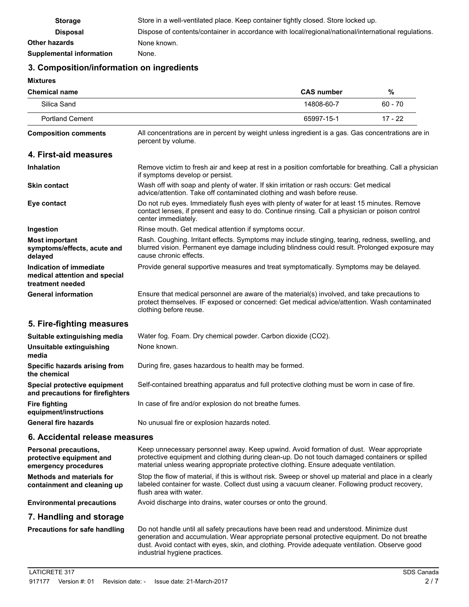| <b>Storage</b>           | Store in a well-ventilated place. Keep container tightly closed. Store locked up.                   |
|--------------------------|-----------------------------------------------------------------------------------------------------|
| <b>Disposal</b>          | Dispose of contents/container in accordance with local/regional/national/international regulations. |
| <b>Other hazards</b>     | None known.                                                                                         |
| Supplemental information | None.                                                                                               |

# **3. Composition/information on ingredients**

**Mixtures**

| <b>Chemical name</b>                                                             |                                                                                                                                                                                                                                                                                   | <b>CAS number</b> | $\%$      |
|----------------------------------------------------------------------------------|-----------------------------------------------------------------------------------------------------------------------------------------------------------------------------------------------------------------------------------------------------------------------------------|-------------------|-----------|
| Silica Sand                                                                      |                                                                                                                                                                                                                                                                                   | 14808-60-7        | $60 - 70$ |
| <b>Portland Cement</b>                                                           |                                                                                                                                                                                                                                                                                   | 65997-15-1        | $17 - 22$ |
| <b>Composition comments</b>                                                      | All concentrations are in percent by weight unless ingredient is a gas. Gas concentrations are in<br>percent by volume.                                                                                                                                                           |                   |           |
| 4. First-aid measures                                                            |                                                                                                                                                                                                                                                                                   |                   |           |
| <b>Inhalation</b>                                                                | Remove victim to fresh air and keep at rest in a position comfortable for breathing. Call a physician<br>if symptoms develop or persist.                                                                                                                                          |                   |           |
| <b>Skin contact</b>                                                              | Wash off with soap and plenty of water. If skin irritation or rash occurs: Get medical<br>advice/attention. Take off contaminated clothing and wash before reuse.                                                                                                                 |                   |           |
| Eye contact                                                                      | Do not rub eyes. Immediately flush eyes with plenty of water for at least 15 minutes. Remove<br>contact lenses, if present and easy to do. Continue rinsing. Call a physician or poison control<br>center immediately.                                                            |                   |           |
| Ingestion                                                                        | Rinse mouth. Get medical attention if symptoms occur.                                                                                                                                                                                                                             |                   |           |
| <b>Most important</b><br>symptoms/effects, acute and<br>delayed                  | Rash. Coughing. Irritant effects. Symptoms may include stinging, tearing, redness, swelling, and<br>blurred vision. Permanent eye damage including blindness could result. Prolonged exposure may<br>cause chronic effects.                                                       |                   |           |
| Indication of immediate<br>medical attention and special<br>treatment needed     | Provide general supportive measures and treat symptomatically. Symptoms may be delayed.                                                                                                                                                                                           |                   |           |
| <b>General information</b>                                                       | Ensure that medical personnel are aware of the material(s) involved, and take precautions to<br>protect themselves. IF exposed or concerned: Get medical advice/attention. Wash contaminated<br>clothing before reuse.                                                            |                   |           |
| 5. Fire-fighting measures                                                        |                                                                                                                                                                                                                                                                                   |                   |           |
| Suitable extinguishing media<br>Unsuitable extinguishing                         | Water fog. Foam. Dry chemical powder. Carbon dioxide (CO2).<br>None known.                                                                                                                                                                                                        |                   |           |
| media                                                                            |                                                                                                                                                                                                                                                                                   |                   |           |
| Specific hazards arising from<br>the chemical                                    | During fire, gases hazardous to health may be formed.                                                                                                                                                                                                                             |                   |           |
| Special protective equipment<br>and precautions for firefighters                 | Self-contained breathing apparatus and full protective clothing must be worn in case of fire.                                                                                                                                                                                     |                   |           |
| <b>Fire fighting</b><br>equipment/instructions                                   | In case of fire and/or explosion do not breathe fumes.                                                                                                                                                                                                                            |                   |           |
| <b>General fire hazards</b>                                                      | No unusual fire or explosion hazards noted.                                                                                                                                                                                                                                       |                   |           |
| 6. Accidental release measures                                                   |                                                                                                                                                                                                                                                                                   |                   |           |
| <b>Personal precautions,</b><br>protective equipment and<br>emergency procedures | Keep unnecessary personnel away. Keep upwind. Avoid formation of dust. Wear appropriate<br>protective equipment and clothing during clean-up. Do not touch damaged containers or spilled<br>material unless wearing appropriate protective clothing. Ensure adequate ventilation. |                   |           |

Stop the flow of material, if this is without risk. Sweep or shovel up material and place in a clearly labeled container for waste. Collect dust using a vacuum cleaner. Following product recovery, flush area with water. **Methods and materials for containment and cleaning up**

**Environmental precautions** Avoid discharge into drains, water courses or onto the ground.

## **7. Handling and storage**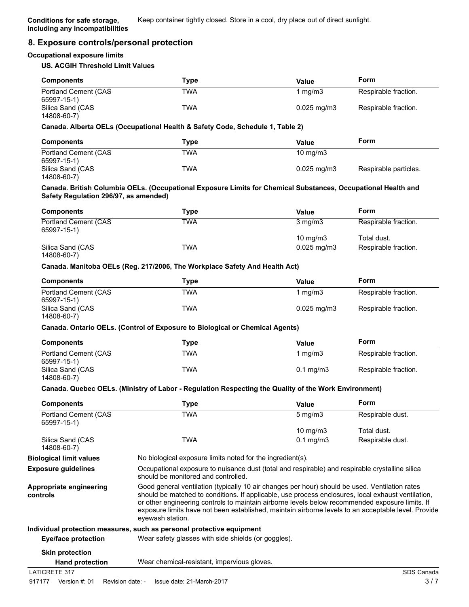### **8. Exposure controls/personal protection**

#### **Occupational exposure limits**

#### **US. ACGIH Threshold Limit Values**

| <b>Components</b>                   | Tvpe | Value                    | Form                 |
|-------------------------------------|------|--------------------------|----------------------|
| Portland Cement (CAS<br>65997-15-1) | TWA  | mg/m3                    | Respirable fraction. |
| Silica Sand (CAS<br>14808-60-7)     | TWA  | $0.025 \,\mathrm{mq/m3}$ | Respirable fraction. |

#### **Canada. Alberta OELs (Occupational Health & Safety Code, Schedule 1, Table 2)**

| <b>Components</b>    | Type       | Value                    | Form                  |
|----------------------|------------|--------------------------|-----------------------|
| Portland Cement (CAS | <b>TWA</b> | $10 \text{ mg/m}$        |                       |
| 65997-15-1)          |            |                          |                       |
| Silica Sand (CAS     | TWA        | $0.025 \,\mathrm{mq/m3}$ | Respirable particles. |
| 14808-60-7)          |            |                          |                       |

#### **Canada. British Columbia OELs. (Occupational Exposure Limits for Chemical Substances, Occupational Health and Safety Regulation 296/97, as amended)**

| <b>Components</b>                   | Type | Value                   | Form                 |
|-------------------------------------|------|-------------------------|----------------------|
| Portland Cement (CAS<br>65997-15-1) | TWA  | $3 \text{ mg/m}$        | Respirable fraction. |
|                                     |      | $10 \text{ mg/m}$       | Total dust.          |
| Silica Sand (CAS<br>14808-60-7)     | TWA  | $0.025 \,\mathrm{mq/m}$ | Respirable fraction. |

#### **Canada. Manitoba OELs (Reg. 217/2006, The Workplace Safety And Health Act)**

| <b>Components</b>    | Type | Value                     | Form                 |
|----------------------|------|---------------------------|----------------------|
| Portland Cement (CAS | TWA  | 1 ma/m3                   | Respirable fraction. |
| 65997-15-1)          |      |                           |                      |
| Silica Sand (CAS     | TWA  | $0.025 \,\mathrm{mq/m}$ 3 | Respirable fraction. |
| 14808-60-7)          |      |                           |                      |

#### **Canada. Ontario OELs. (Control of Exposure to Biological or Chemical Agents)**

| <b>Components</b>                   | Type       | Value                | Form                 |
|-------------------------------------|------------|----------------------|----------------------|
| Portland Cement (CAS<br>65997-15-1) | <b>TWA</b> | ma/m3                | Respirable fraction. |
| Silica Sand (CAS<br>14808-60-7)     | <b>TWA</b> | $0.1 \text{ mg/m}$ 3 | Respirable fraction. |

#### **Canada. Quebec OELs. (Ministry of Labor - Regulation Respecting the Quality of the Work Environment)**

| <b>Components</b>                   | <b>Type</b>                                                                                                                                                                                                                                                                                                                                                                                                                        | Value                                                                                           | Form             |  |
|-------------------------------------|------------------------------------------------------------------------------------------------------------------------------------------------------------------------------------------------------------------------------------------------------------------------------------------------------------------------------------------------------------------------------------------------------------------------------------|-------------------------------------------------------------------------------------------------|------------------|--|
| Portland Cement (CAS<br>65997-15-1) | TWA                                                                                                                                                                                                                                                                                                                                                                                                                                | $5 \,\mathrm{mg/m}$                                                                             | Respirable dust. |  |
|                                     |                                                                                                                                                                                                                                                                                                                                                                                                                                    | 10 mg/m $3$                                                                                     | Total dust.      |  |
| Silica Sand (CAS<br>14808-60-7)     | TWA                                                                                                                                                                                                                                                                                                                                                                                                                                | $0.1$ mg/m $3$                                                                                  | Respirable dust. |  |
| <b>Biological limit values</b>      | No biological exposure limits noted for the ingredient(s).                                                                                                                                                                                                                                                                                                                                                                         |                                                                                                 |                  |  |
| <b>Exposure guidelines</b>          | should be monitored and controlled.                                                                                                                                                                                                                                                                                                                                                                                                | Occupational exposure to nuisance dust (total and respirable) and respirable crystalline silica |                  |  |
| Appropriate engineering<br>controls | Good general ventilation (typically 10 air changes per hour) should be used. Ventilation rates<br>should be matched to conditions. If applicable, use process enclosures, local exhaust ventilation,<br>or other engineering controls to maintain airborne levels below recommended exposure limits. If<br>exposure limits have not been established, maintain airborne levels to an acceptable level. Provide<br>eyewash station. |                                                                                                 |                  |  |
|                                     | Individual protection measures, such as personal protective equipment                                                                                                                                                                                                                                                                                                                                                              |                                                                                                 |                  |  |
| Eye/face protection                 | Wear safety glasses with side shields (or goggles).                                                                                                                                                                                                                                                                                                                                                                                |                                                                                                 |                  |  |
| <b>Skin protection</b>              |                                                                                                                                                                                                                                                                                                                                                                                                                                    |                                                                                                 |                  |  |
| <b>Hand protection</b>              | Wear chemical-resistant, impervious gloves.                                                                                                                                                                                                                                                                                                                                                                                        |                                                                                                 |                  |  |
| <b>LATICRETE 317</b>                |                                                                                                                                                                                                                                                                                                                                                                                                                                    |                                                                                                 | SDS Canada       |  |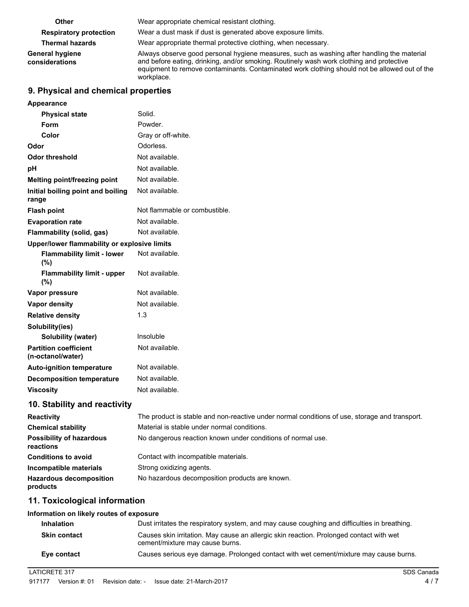| <b>Other</b>                      | Wear appropriate chemical resistant clothing.                                                                                                                                                                                                                                                         |
|-----------------------------------|-------------------------------------------------------------------------------------------------------------------------------------------------------------------------------------------------------------------------------------------------------------------------------------------------------|
| <b>Respiratory protection</b>     | Wear a dust mask if dust is generated above exposure limits.                                                                                                                                                                                                                                          |
| <b>Thermal hazards</b>            | Wear appropriate thermal protective clothing, when necessary.                                                                                                                                                                                                                                         |
| General hygiene<br>considerations | Always observe good personal hygiene measures, such as washing after handling the material<br>and before eating, drinking, and/or smoking. Routinely wash work clothing and protective<br>equipment to remove contaminants. Contaminated work clothing should not be allowed out of the<br>workplace. |

# **9. Physical and chemical properties**

| Appearance                                        |                                                                                               |
|---------------------------------------------------|-----------------------------------------------------------------------------------------------|
| <b>Physical state</b>                             | Solid.                                                                                        |
| Form                                              | Powder.                                                                                       |
| Color                                             | Gray or off-white.                                                                            |
| Odor                                              | Odorless.                                                                                     |
| <b>Odor threshold</b>                             | Not available.                                                                                |
| рH                                                | Not available.                                                                                |
| Melting point/freezing point                      | Not available.                                                                                |
| Initial boiling point and boiling<br>range        | Not available.                                                                                |
| <b>Flash point</b>                                | Not flammable or combustible.                                                                 |
| <b>Evaporation rate</b>                           | Not available.                                                                                |
| Flammability (solid, gas)                         | Not available.                                                                                |
| Upper/lower flammability or explosive limits      |                                                                                               |
| <b>Flammability limit - lower</b><br>(%)          | Not available.                                                                                |
| <b>Flammability limit - upper</b><br>(%)          | Not available.                                                                                |
| Vapor pressure                                    | Not available.                                                                                |
| <b>Vapor density</b>                              | Not available.                                                                                |
| <b>Relative density</b>                           | 1.3                                                                                           |
| Solubility(ies)                                   |                                                                                               |
| Solubility (water)                                | Insoluble                                                                                     |
| <b>Partition coefficient</b><br>(n-octanol/water) | Not available.                                                                                |
| <b>Auto-ignition temperature</b>                  | Not available.                                                                                |
| <b>Decomposition temperature</b>                  | Not available.                                                                                |
| <b>Viscosity</b>                                  | Not available.                                                                                |
| 10. Stability and reactivity                      |                                                                                               |
| <b>Reactivity</b>                                 | The product is stable and non-reactive under normal conditions of use, storage and transport. |
| <b>Chemical stability</b>                         | Material is stable under normal conditions.                                                   |
| <b>Possibility of hazardous</b><br>reactions      | No dangerous reaction known under conditions of normal use.                                   |
| <b>Conditions to avoid</b>                        | Contact with incompatible materials.                                                          |
| Incompatible materials                            | Strong oxidizing agents.                                                                      |
| <b>Hazardous decomposition</b><br>products        | No hazardous decomposition products are known.                                                |

# **11. Toxicological information**

| Information on likely routes of exposure |                                                                                                                            |  |
|------------------------------------------|----------------------------------------------------------------------------------------------------------------------------|--|
| <b>Inhalation</b>                        | Dust irritates the respiratory system, and may cause coughing and difficulties in breathing.                               |  |
| <b>Skin contact</b>                      | Causes skin irritation. May cause an allergic skin reaction. Prolonged contact with wet<br>cement/mixture may cause burns. |  |
| Eye contact                              | Causes serious eye damage. Prolonged contact with wet cement/mixture may cause burns.                                      |  |
|                                          |                                                                                                                            |  |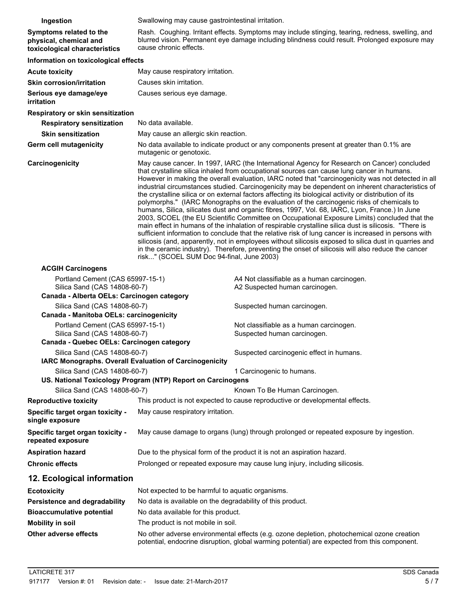| Ingestion                                                                                                     | Swallowing may cause gastrointestinal irritation.                                                                                                                                                                                                                                                                                                                                                                                                                                                                                                                                                                                                                                                                                                                                                                                                                                                                                                                                                                                                                                                                                                                                                                                                                                           |  |
|---------------------------------------------------------------------------------------------------------------|---------------------------------------------------------------------------------------------------------------------------------------------------------------------------------------------------------------------------------------------------------------------------------------------------------------------------------------------------------------------------------------------------------------------------------------------------------------------------------------------------------------------------------------------------------------------------------------------------------------------------------------------------------------------------------------------------------------------------------------------------------------------------------------------------------------------------------------------------------------------------------------------------------------------------------------------------------------------------------------------------------------------------------------------------------------------------------------------------------------------------------------------------------------------------------------------------------------------------------------------------------------------------------------------|--|
| Symptoms related to the<br>physical, chemical and<br>toxicological characteristics                            | Rash. Coughing. Irritant effects. Symptoms may include stinging, tearing, redness, swelling, and<br>blurred vision. Permanent eye damage including blindness could result. Prolonged exposure may<br>cause chronic effects.                                                                                                                                                                                                                                                                                                                                                                                                                                                                                                                                                                                                                                                                                                                                                                                                                                                                                                                                                                                                                                                                 |  |
| Information on toxicological effects                                                                          |                                                                                                                                                                                                                                                                                                                                                                                                                                                                                                                                                                                                                                                                                                                                                                                                                                                                                                                                                                                                                                                                                                                                                                                                                                                                                             |  |
| <b>Acute toxicity</b>                                                                                         | May cause respiratory irritation.                                                                                                                                                                                                                                                                                                                                                                                                                                                                                                                                                                                                                                                                                                                                                                                                                                                                                                                                                                                                                                                                                                                                                                                                                                                           |  |
| <b>Skin corrosion/irritation</b>                                                                              | Causes skin irritation.                                                                                                                                                                                                                                                                                                                                                                                                                                                                                                                                                                                                                                                                                                                                                                                                                                                                                                                                                                                                                                                                                                                                                                                                                                                                     |  |
| Serious eye damage/eye<br><i>irritation</i>                                                                   | Causes serious eye damage.                                                                                                                                                                                                                                                                                                                                                                                                                                                                                                                                                                                                                                                                                                                                                                                                                                                                                                                                                                                                                                                                                                                                                                                                                                                                  |  |
| Respiratory or skin sensitization                                                                             |                                                                                                                                                                                                                                                                                                                                                                                                                                                                                                                                                                                                                                                                                                                                                                                                                                                                                                                                                                                                                                                                                                                                                                                                                                                                                             |  |
| <b>Respiratory sensitization</b>                                                                              | No data available.                                                                                                                                                                                                                                                                                                                                                                                                                                                                                                                                                                                                                                                                                                                                                                                                                                                                                                                                                                                                                                                                                                                                                                                                                                                                          |  |
| <b>Skin sensitization</b>                                                                                     | May cause an allergic skin reaction.                                                                                                                                                                                                                                                                                                                                                                                                                                                                                                                                                                                                                                                                                                                                                                                                                                                                                                                                                                                                                                                                                                                                                                                                                                                        |  |
| Germ cell mutagenicity                                                                                        | No data available to indicate product or any components present at greater than 0.1% are<br>mutagenic or genotoxic.                                                                                                                                                                                                                                                                                                                                                                                                                                                                                                                                                                                                                                                                                                                                                                                                                                                                                                                                                                                                                                                                                                                                                                         |  |
| Carcinogenicity                                                                                               | May cause cancer. In 1997, IARC (the International Agency for Research on Cancer) concluded<br>that crystalline silica inhaled from occupational sources can cause lung cancer in humans.<br>However in making the overall evaluation, IARC noted that "carcinogenicity was not detected in all<br>industrial circumstances studied. Carcinogenicity may be dependent on inherent characteristics of<br>the crystalline silica or on external factors affecting its biological activity or distribution of its<br>polymorphs." (IARC Monographs on the evaluation of the carcinogenic risks of chemicals to<br>humans, Silica, silicates dust and organic fibres, 1997, Vol. 68, IARC, Lyon, France.) In June<br>2003, SCOEL (the EU Scientific Committee on Occupational Exposure Limits) concluded that the<br>main effect in humans of the inhalation of respirable crystalline silica dust is silicosis. "There is<br>sufficient information to conclude that the relative risk of lung cancer is increased in persons with<br>silicosis (and, apparently, not in employees without silicosis exposed to silica dust in quarries and<br>in the ceramic industry). Therefore, preventing the onset of silicosis will also reduce the cancer<br>risk" (SCOEL SUM Doc 94-final, June 2003) |  |
| <b>ACGIH Carcinogens</b>                                                                                      |                                                                                                                                                                                                                                                                                                                                                                                                                                                                                                                                                                                                                                                                                                                                                                                                                                                                                                                                                                                                                                                                                                                                                                                                                                                                                             |  |
| Portland Cement (CAS 65997-15-1)<br>Silica Sand (CAS 14808-60-7)                                              | A4 Not classifiable as a human carcinogen.<br>A2 Suspected human carcinogen.                                                                                                                                                                                                                                                                                                                                                                                                                                                                                                                                                                                                                                                                                                                                                                                                                                                                                                                                                                                                                                                                                                                                                                                                                |  |
| Canada - Alberta OELs: Carcinogen category                                                                    |                                                                                                                                                                                                                                                                                                                                                                                                                                                                                                                                                                                                                                                                                                                                                                                                                                                                                                                                                                                                                                                                                                                                                                                                                                                                                             |  |
| Silica Sand (CAS 14808-60-7)                                                                                  | Suspected human carcinogen.                                                                                                                                                                                                                                                                                                                                                                                                                                                                                                                                                                                                                                                                                                                                                                                                                                                                                                                                                                                                                                                                                                                                                                                                                                                                 |  |
| Canada - Manitoba OELs: carcinogenicity                                                                       |                                                                                                                                                                                                                                                                                                                                                                                                                                                                                                                                                                                                                                                                                                                                                                                                                                                                                                                                                                                                                                                                                                                                                                                                                                                                                             |  |
| Portland Cement (CAS 65997-15-1)<br>Silica Sand (CAS 14808-60-7)<br>Canada - Quebec OELs: Carcinogen category | Not classifiable as a human carcinogen.<br>Suspected human carcinogen.                                                                                                                                                                                                                                                                                                                                                                                                                                                                                                                                                                                                                                                                                                                                                                                                                                                                                                                                                                                                                                                                                                                                                                                                                      |  |
| Silica Sand (CAS 14808-60-7)                                                                                  | Suspected carcinogenic effect in humans.                                                                                                                                                                                                                                                                                                                                                                                                                                                                                                                                                                                                                                                                                                                                                                                                                                                                                                                                                                                                                                                                                                                                                                                                                                                    |  |
| IARC Monographs. Overall Evaluation of Carcinogenicity                                                        |                                                                                                                                                                                                                                                                                                                                                                                                                                                                                                                                                                                                                                                                                                                                                                                                                                                                                                                                                                                                                                                                                                                                                                                                                                                                                             |  |
| Silica Sand (CAS 14808-60-7)                                                                                  | 1 Carcinogenic to humans.<br>US. National Toxicology Program (NTP) Report on Carcinogens                                                                                                                                                                                                                                                                                                                                                                                                                                                                                                                                                                                                                                                                                                                                                                                                                                                                                                                                                                                                                                                                                                                                                                                                    |  |
| Silica Sand (CAS 14808-60-7)                                                                                  | Known To Be Human Carcinogen.                                                                                                                                                                                                                                                                                                                                                                                                                                                                                                                                                                                                                                                                                                                                                                                                                                                                                                                                                                                                                                                                                                                                                                                                                                                               |  |
| <b>Reproductive toxicity</b>                                                                                  | This product is not expected to cause reproductive or developmental effects.                                                                                                                                                                                                                                                                                                                                                                                                                                                                                                                                                                                                                                                                                                                                                                                                                                                                                                                                                                                                                                                                                                                                                                                                                |  |
| Specific target organ toxicity -<br>single exposure                                                           | May cause respiratory irritation.                                                                                                                                                                                                                                                                                                                                                                                                                                                                                                                                                                                                                                                                                                                                                                                                                                                                                                                                                                                                                                                                                                                                                                                                                                                           |  |
| Specific target organ toxicity -<br>repeated exposure                                                         | May cause damage to organs (lung) through prolonged or repeated exposure by ingestion.                                                                                                                                                                                                                                                                                                                                                                                                                                                                                                                                                                                                                                                                                                                                                                                                                                                                                                                                                                                                                                                                                                                                                                                                      |  |
| <b>Aspiration hazard</b>                                                                                      | Due to the physical form of the product it is not an aspiration hazard.                                                                                                                                                                                                                                                                                                                                                                                                                                                                                                                                                                                                                                                                                                                                                                                                                                                                                                                                                                                                                                                                                                                                                                                                                     |  |
| <b>Chronic effects</b>                                                                                        | Prolonged or repeated exposure may cause lung injury, including silicosis.                                                                                                                                                                                                                                                                                                                                                                                                                                                                                                                                                                                                                                                                                                                                                                                                                                                                                                                                                                                                                                                                                                                                                                                                                  |  |
| 12. Ecological information                                                                                    |                                                                                                                                                                                                                                                                                                                                                                                                                                                                                                                                                                                                                                                                                                                                                                                                                                                                                                                                                                                                                                                                                                                                                                                                                                                                                             |  |
| <b>Ecotoxicity</b>                                                                                            | Not expected to be harmful to aquatic organisms.                                                                                                                                                                                                                                                                                                                                                                                                                                                                                                                                                                                                                                                                                                                                                                                                                                                                                                                                                                                                                                                                                                                                                                                                                                            |  |
| Persistence and degradability                                                                                 | No data is available on the degradability of this product.                                                                                                                                                                                                                                                                                                                                                                                                                                                                                                                                                                                                                                                                                                                                                                                                                                                                                                                                                                                                                                                                                                                                                                                                                                  |  |
| <b>Bioaccumulative potential</b>                                                                              | No data available for this product.                                                                                                                                                                                                                                                                                                                                                                                                                                                                                                                                                                                                                                                                                                                                                                                                                                                                                                                                                                                                                                                                                                                                                                                                                                                         |  |
| <b>Mobility in soil</b>                                                                                       | The product is not mobile in soil.                                                                                                                                                                                                                                                                                                                                                                                                                                                                                                                                                                                                                                                                                                                                                                                                                                                                                                                                                                                                                                                                                                                                                                                                                                                          |  |
|                                                                                                               |                                                                                                                                                                                                                                                                                                                                                                                                                                                                                                                                                                                                                                                                                                                                                                                                                                                                                                                                                                                                                                                                                                                                                                                                                                                                                             |  |
| Other adverse effects                                                                                         | No other adverse environmental effects (e.g. ozone depletion, photochemical ozone creation<br>potential, endocrine disruption, global warming potential) are expected from this component.                                                                                                                                                                                                                                                                                                                                                                                                                                                                                                                                                                                                                                                                                                                                                                                                                                                                                                                                                                                                                                                                                                  |  |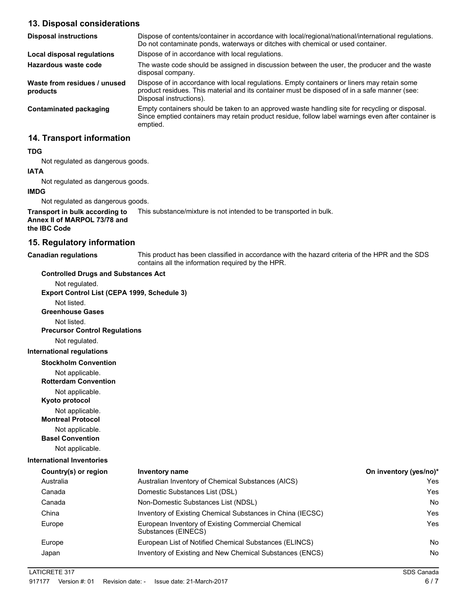# **13. Disposal considerations**

| <b>Disposal instructions</b>             | Dispose of contents/container in accordance with local/regional/national/international regulations.<br>Do not contaminate ponds, waterways or ditches with chemical or used container.                                 |
|------------------------------------------|------------------------------------------------------------------------------------------------------------------------------------------------------------------------------------------------------------------------|
| Local disposal regulations               | Dispose of in accordance with local regulations.                                                                                                                                                                       |
| Hazardous waste code                     | The waste code should be assigned in discussion between the user, the producer and the waste<br>disposal company.                                                                                                      |
| Waste from residues / unused<br>products | Dispose of in accordance with local regulations. Empty containers or liners may retain some<br>product residues. This material and its container must be disposed of in a safe manner (see:<br>Disposal instructions). |
| Contaminated packaging                   | Empty containers should be taken to an approved waste handling site for recycling or disposal.<br>Since emptied containers may retain product residue, follow label warnings even after container is<br>emptied.       |

# **14. Transport information**

#### **TDG**

Not regulated as dangerous goods.

# **IATA**

Not regulated as dangerous goods.

#### **IMDG**

Not regulated as dangerous goods.

**Transport in bulk according to** This substance/mixture is not intended to be transported in bulk. **Annex II of MARPOL 73/78 and the IBC Code**

## **15. Regulatory information**

This product has been classified in accordance with the hazard criteria of the HPR and the SDS contains all the information required by the HPR. **Canadian regulations**

| <b>Controlled Drugs and Substances Act</b>     |                                                                           |                        |
|------------------------------------------------|---------------------------------------------------------------------------|------------------------|
| Not regulated.                                 |                                                                           |                        |
| Export Control List (CEPA 1999, Schedule 3)    |                                                                           |                        |
| Not listed.                                    |                                                                           |                        |
| <b>Greenhouse Gases</b>                        |                                                                           |                        |
| Not listed.                                    |                                                                           |                        |
| <b>Precursor Control Regulations</b>           |                                                                           |                        |
| Not regulated.                                 |                                                                           |                        |
| <b>International regulations</b>               |                                                                           |                        |
| <b>Stockholm Convention</b>                    |                                                                           |                        |
| Not applicable.<br><b>Rotterdam Convention</b> |                                                                           |                        |
| Not applicable.<br>Kyoto protocol              |                                                                           |                        |
| Not applicable.<br><b>Montreal Protocol</b>    |                                                                           |                        |
| Not applicable.<br><b>Basel Convention</b>     |                                                                           |                        |
| Not applicable.                                |                                                                           |                        |
| <b>International Inventories</b>               |                                                                           |                        |
| Country(s) or region                           | Inventory name                                                            | On inventory (yes/no)* |
| Australia                                      | Australian Inventory of Chemical Substances (AICS)                        | Yes                    |
| Canada                                         | Domestic Substances List (DSL)                                            | Yes                    |
| Canada                                         | Non-Domestic Substances List (NDSL)                                       | No                     |
| China                                          | Inventory of Existing Chemical Substances in China (IECSC)                | Yes                    |
| Europe                                         | European Inventory of Existing Commercial Chemical<br>Substances (EINECS) | Yes                    |
| Europe                                         | European List of Notified Chemical Substances (ELINCS)                    | <b>No</b>              |
| Japan                                          | Inventory of Existing and New Chemical Substances (ENCS)                  | No                     |
| <b>LATICRETE 317</b>                           |                                                                           | SDS Canada             |